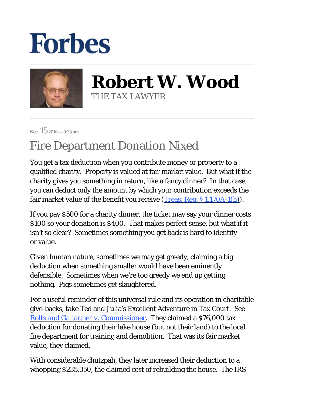## **Forbes**



**Robert W. Wood** THE TAX LAWYER

Nov. 15 2010 — 9:33 am

## Fire Department Donation Nixed

You get a tax deduction when you contribute money or property to a qualified charity. Property is valued at fair market value. But what if the charity gives you something in return, like a fancy dinner? In that case, you can deduct only the amount by which your contribution exceeds the fair market value of the benefit you receive (Treas. Reg.  $\S 1.170A-1(h)$ ).

If you pay \$500 for a charity dinner, the ticket may say your dinner costs \$100 so your donation is \$400. That makes perfect sense, but what if it isn't so clear? Sometimes something you get back is hard to identify or value.

Given human nature, sometimes we may get greedy, claiming a big deduction when something smaller would have been eminently defensible. Sometimes when we're too greedy we end up getting nothing. Pigs sometimes get slaughtered.

For a useful reminder of this universal rule and its operation in charitable give-backs, take Ted and Julia's Excellent Adventure in Tax Court. See *[Rolfs and Gallagher v. Commissioner](http://www.ustaxcourt.gov/InOpHistoric/ROLFSGALLAGHER.TC.WPD.pdf)*. They claimed a \$76,000 tax deduction for donating their lake house (but not their land) to the local fire department for training and demolition. That was its fair market value, they claimed.

With considerable chutzpah, they later increased their deduction to a whopping \$235,350, the claimed cost of rebuilding the house. The IRS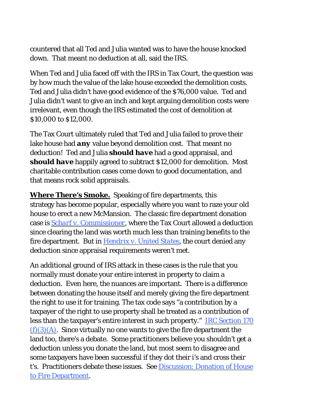countered that all Ted and Julia wanted was to have the house knocked down. That meant no deduction at all, said the IRS.

When Ted and Julia faced off with the IRS in Tax Court, the question was by how much the value of the lake house exceeded the demolition costs. Ted and Julia didn't have good evidence of the \$76,000 value. Ted and Julia didn't want to give an inch and kept arguing demolition costs were irrelevant, even though the IRS estimated the cost of demolition at \$10,000 to \$12,000.

The Tax Court ultimately ruled that Ted and Julia failed to prove their lake house had *any* value beyond demolition cost. That meant no deduction! Ted and Julia *should have* had a good appraisal, and *should have* happily agreed to subtract \$12,000 for demolition. Most charitable contribution cases come down to good documentation, and that means rock solid appraisals.

**Where There's Smoke.** Speaking of fire departments, this strategy has become popular, especially where you want to raze your old house to erect a new McMansion. The classic fire department donation case is *[Scharf v. Commissioner](http://www.woodporter.com/Publications/Articles/pdf/TC_Memo_1973-265.pdf)*, where the Tax Court allowed a deduction since clearing the land was worth much less than training benefits to the fire department. But in *[Hendrix v. United States](http://taxprof.typepad.com/files/hendrix.pdf)*, the court denied any deduction since appraisal requirements weren't met.

An additional ground of IRS attack in these cases is the rule that you normally must donate your entire interest in property to claim a deduction. Even here, the nuances are important. There is a difference between donating the house itself and merely giving the fire department the right to use it for training. The tax code says "a contribution by a taxpayer of the right to use property shall be treated as a contribution of less than the taxpayer's entire interest in such property." [IRC Section 170](http://www.law.cornell.edu/uscode/26/usc_sec_26_00000170----000-.html)  $(f)(3)(A)$ . Since virtually no one wants to give the fire department the land too, there's a debate. Some practitioners believe you shouldn't get a deduction unless you donate the land, but most seem to disagree and some taxpayers have been successful if they dot their i's and cross their t's. Practitioners debate these issues. See [Discussion: Donation of House](http://www.taxalmanac.org/index.php/Discussion:Donation_of_House_to_Fire_Department) [to Fire Department.](http://www.taxalmanac.org/index.php/Discussion:Donation_of_House_to_Fire_Department)